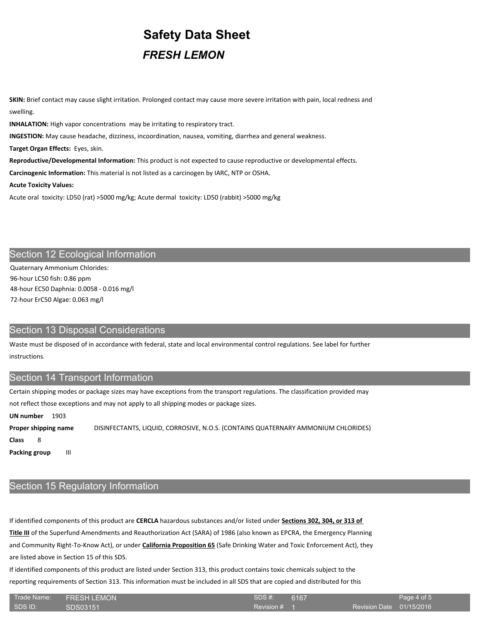# **Safety Data Sheet**

**SKIN:** Brief contact may cause slight irritation. Prolonged contact may cause more severe irritation with pain, local redness and swelling.

**INHALATION:** High vapor concentrations may be irritating to respiratory tract.

**INGESTION:** May cause headache, dizziness, incoordination, nausea, vomiting, diarrhea and general weakness.

**Target Organ Effects:** Eyes, skin.

**Reproductive/Developmental Information:** This product is not expected to cause reproductive or developmental effects.

**Carcinogenic Information:** This material is not listed as a carcinogen by IARC, NTP or OSHA.

**Acute Toxicity Values:**

Acute oral toxicity: LD50 (rat) >5000 mg/kg; Acute dermal toxicity: LD50 (rabbit) >5000 mg/kg

# Section 12 Ecological Information

Quaternary Ammonium Chlorides: 96-hour LC50 fish: 0.86 ppm 48-hour EC50 Daphnia: 0.0058 - 0.016 mg/l 72-hour ErC50 Algae: 0.063 mg/l

## Section 13 Disposal Considerations

Waste must be disposed of in accordance with federal, state and local environmental control regulations. See label for further instructions.

## Section 14 Transport Information

Certain shipping modes or package sizes may have exceptions from the transport regulations. The classification provided may not reflect those exceptions and may not apply to all shipping modes or package sizes.

**UN number** 1903

**Proper shipping name** DISINFECTANTS, LIQUID, CORROSIVE, N.O.S. (CONTAINS QUATERNARY AMMONIUM CHLORIDES)

**Class** 8

**Packing group** III

# Section 15 Regulatory Information

If identified components of this product are **CERCLA** hazardous substances and/or listed under **Sections 302, 304, or 313 of Title III** of the Superfund Amendments and Reauthorization Act (SARA) of 1986 (also known as EPCRA, the Emergency Planning and Community Right-To-Know Act), or under **California Proposition 65** (Safe Drinking Water and Toxic Enforcement Act), they are listed above in Section 15 of this SDS.

If identified components of this product are listed under Section 313, this product contains toxic chemicals subject to the reporting requirements of Section 313. This information must be included in all SDS that are copied and distributed for this

| ⊦ Trade Name: <sup>1</sup> | <b>FRESH LEMON</b> | SDS#:        | 6167 |                          | Page 4 of 5 |
|----------------------------|--------------------|--------------|------|--------------------------|-------------|
| SDS ID:                    | ISDS03151          | Revision $#$ |      | Revision Date 01/15/2016 |             |